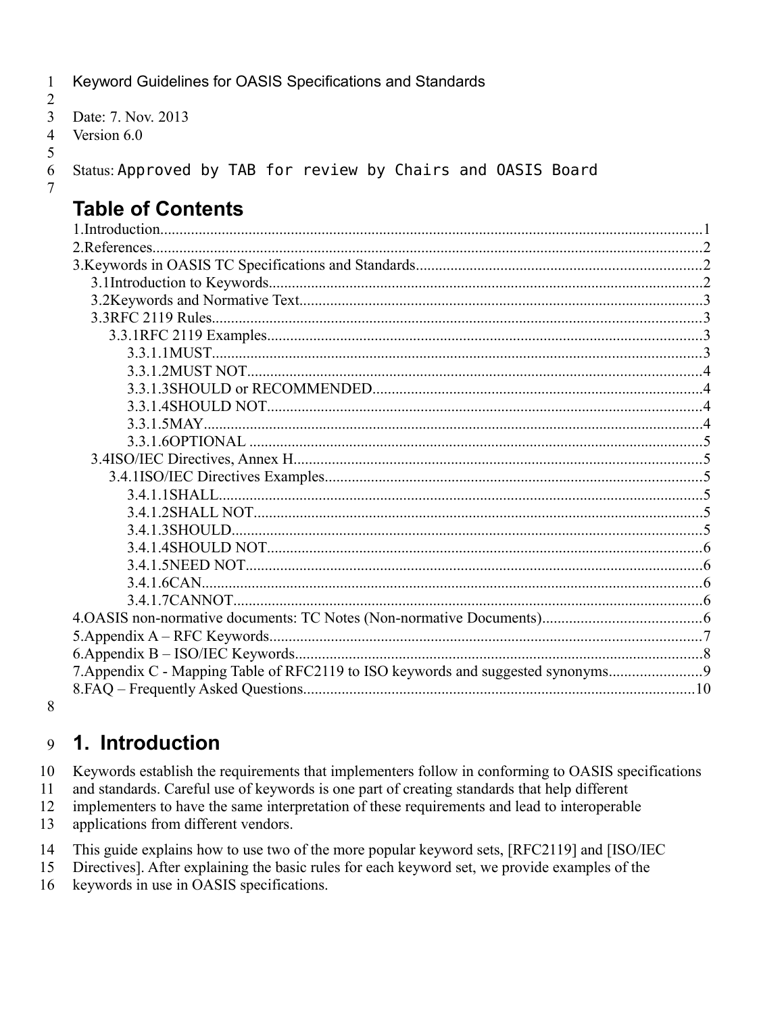$\mathbf{1}$ Keyword Guidelines for OASIS Specifications and Standards

```
\overline{2}\overline{3}Date: 7. Nov. 2013
\overline{4}Version 6.0
```
5 6

 $\overline{7}$ 

Status: Approved by TAB for review by Chairs and OASIS Board

# **Table of Contents**

| 7. Appendix C - Mapping Table of RFC2119 to ISO keywords and suggested synonyms |  |
|---------------------------------------------------------------------------------|--|
|                                                                                 |  |
|                                                                                 |  |

8

#### 1. Introduction 9

10 Keywords establish the requirements that implementers follow in conforming to OASIS specifications

11 and standards. Careful use of keywords is one part of creating standards that help different

12 implementers to have the same interpretation of these requirements and lead to interoperable

13 applications from different vendors.

This guide explains how to use two of the more popular keyword sets, [RFC2119] and [ISO/IEC 14

15 Directives]. After explaining the basic rules for each keyword set, we provide examples of the

keywords in use in OASIS specifications. 16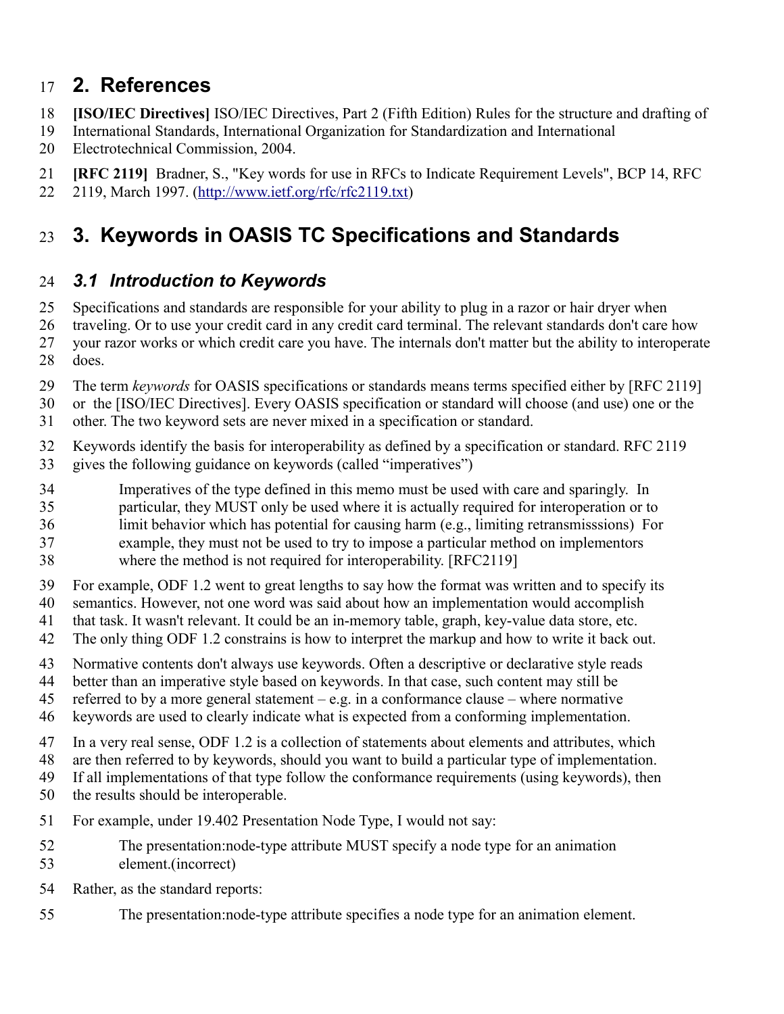#### **2. References** 17

- **[ISO/IEC Directives]** ISO/IEC Directives, Part 2 (Fifth Edition) Rules for the structure and drafting of 18
- International Standards, International Organization for Standardization and International 19
- Electrotechnical Commission, 2004. 20
- **[RFC 2119]** Bradner, S., "Key words for use in RFCs to Indicate Requirement Levels", BCP 14, RFC 21
- 2119, March 1997. [\(http://www.ietf.org/rfc/rfc2119.txt\)](http://www.ietf.org/rfc/rfc2119.txt) 22

### **3. Keywords in OASIS TC Specifications and Standards** 23

#### *3.1 Introduction to Keywords* 24

- Specifications and standards are responsible for your ability to plug in a razor or hair dryer when 25
- traveling. Or to use your credit card in any credit card terminal. The relevant standards don't care how your razor works or which credit care you have. The internals don't matter but the ability to interoperate 26 27
- does. 28
- The term *keywords* for OASIS specifications or standards means terms specified either by [RFC 2119] 29
- or the [ISO/IEC Directives]. Every OASIS specification or standard will choose (and use) one or the other. The two keyword sets are never mixed in a specification or standard. 30 31
- Keywords identify the basis for interoperability as defined by a specification or standard. RFC 2119 gives the following guidance on keywords (called "imperatives") 32 33
- Imperatives of the type defined in this memo must be used with care and sparingly. In 34
- particular, they MUST only be used where it is actually required for interoperation or to 35
- limit behavior which has potential for causing harm (e.g., limiting retransmisssions) For 36
- example, they must not be used to try to impose a particular method on implementors 37
- where the method is not required for interoperability. [RFC2119] 38
- For example, ODF 1.2 went to great lengths to say how the format was written and to specify its 39
- semantics. However, not one word was said about how an implementation would accomplish 40
- that task. It wasn't relevant. It could be an in-memory table, graph, key-value data store, etc. 41
- The only thing ODF 1.2 constrains is how to interpret the markup and how to write it back out. 42
- Normative contents don't always use keywords. Often a descriptive or declarative style reads 43
- better than an imperative style based on keywords. In that case, such content may still be 44
- referred to by a more general statement e.g. in a conformance clause where normative 45
- keywords are used to clearly indicate what is expected from a conforming implementation. 46
- In a very real sense, ODF 1.2 is a collection of statements about elements and attributes, which 47
- are then referred to by keywords, should you want to build a particular type of implementation. 48
- If all implementations of that type follow the conformance requirements (using keywords), then 49
- the results should be interoperable. 50
- For example, under 19.402 Presentation Node Type, I would not say: 51
- The presentation:node-type attribute MUST specify a node type for an animation element.(incorrect) 52 53
- Rather, as the standard reports: 54
- The presentation:node-type attribute specifies a node type for an animation element. 55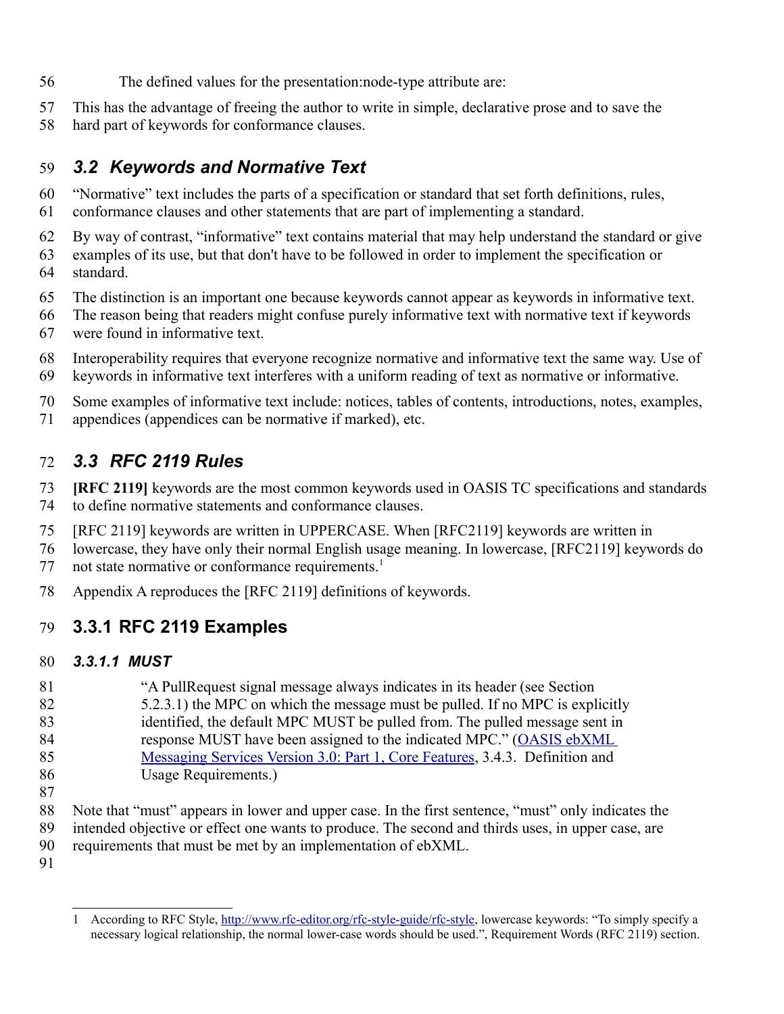- The defined values for the presentation:node-type attribute are: 56
- This has the advantage of freeing the author to write in simple, declarative prose and to save the 57
- hard part of keywords for conformance clauses. 58

#### *3.2 Keywords and Normative Text* 59

- "Normative" text includes the parts of a specification or standard that set forth definitions, rules, conformance clauses and other statements that are part of implementing a standard. 60 61
- By way of contrast, "informative" text contains material that may help understand the standard or give examples of its use, but that don't have to be followed in order to implement the specification or standard. 62 63 64
- The distinction is an important one because keywords cannot appear as keywords in informative text. 65
- The reason being that readers might confuse purely informative text with normative text if keywords were found in informative text. 66 67
- Interoperability requires that everyone recognize normative and informative text the same way. Use of keywords in informative text interferes with a uniform reading of text as normative or informative. 68 69
- Some examples of informative text include: notices, tables of contents, introductions, notes, examples, appendices (appendices can be normative if marked), etc. 70 71

#### *3.3 RFC 2119 Rules* 72

- **[RFC 2119]** keywords are the most common keywords used in OASIS TC specifications and standards to define normative statements and conformance clauses. 73 74
- [RFC 2119] keywords are written in UPPERCASE. When [RFC2119] keywords are written in 75
- lowercase, they have only their normal English usage meaning. In lowercase, [RFC2119] keywords do not state normative or conformance requirements.<sup>[1](#page-2-0)</sup> 76 77
- Appendix A reproduces the [RFC 2119] definitions of keywords. 78

#### **3.3.1 RFC 2119 Examples** 79

#### *3.3.1.1 MUST* 80

- "A PullRequest signal message always indicates in its header (see Section 5.2.3.1) the MPC on which the message must be pulled. If no MPC is explicitly identified, the default MPC MUST be pulled from. The pulled message sent in response MUST have been assigned to the indicated MPC." [\(OASIS ebXML](http://docs.oasis-open.org/ebxml-msg/ebms/v3.0/core/os/ebms_core-3.0-spec-os.odt) [Messaging Services Version 3.0: Part 1, Core Features,](http://docs.oasis-open.org/ebxml-msg/ebms/v3.0/core/os/ebms_core-3.0-spec-os.odt) 3.4.3. Definition and Usage Requirements.) 81 82 83 84 85 86
- 87

Note that "must" appears in lower and upper case. In the first sentence, "must" only indicates the intended objective or effect one wants to produce. The second and thirds uses, in upper case, are requirements that must be met by an implementation of ebXML. 88 89 90

<span id="page-2-0"></span><sup>1</sup> According to RFC Style, [http://www.rfc-editor.org/rfc-style-guide/rfc-style,](http://www.rfc-editor.org/rfc-style-guide/rfc-style) lowercase keywords: "To simply specify a necessary logical relationship, the normal lower-case words should be used.", Requirement Words (RFC 2119) section.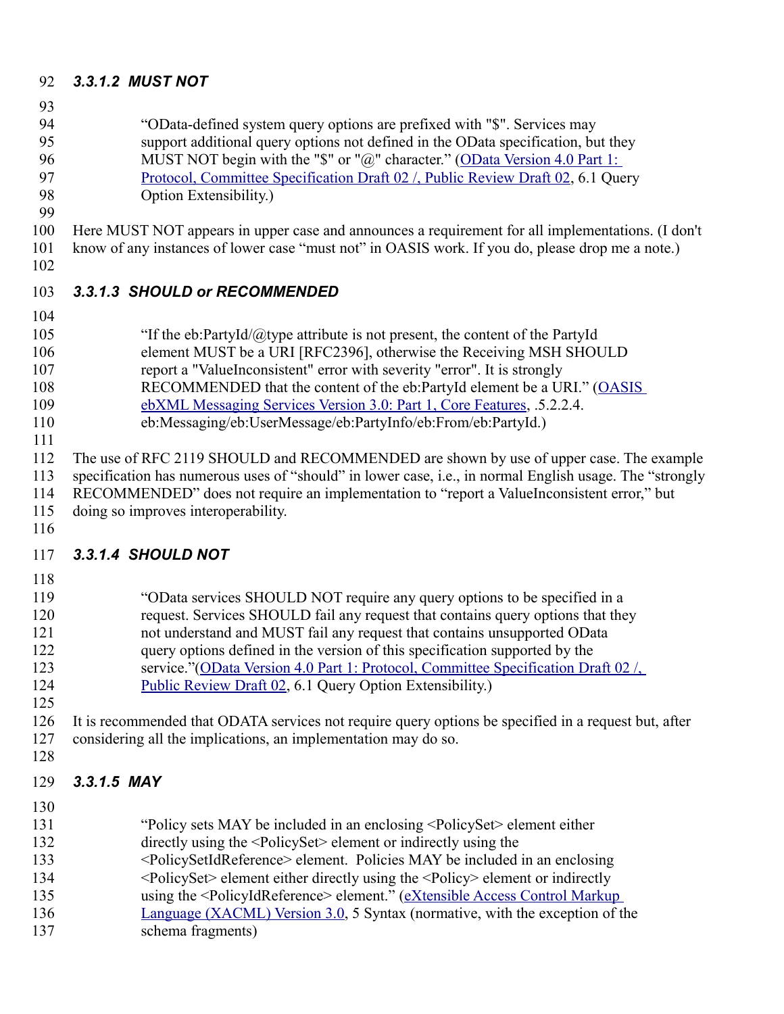#### *3.3.1.2 MUST NOT* 92

- 93
- "OData-defined system query options are prefixed with "\$". Services may support additional query options not defined in the OData specification, but they MUST NOT begin with the "\$" or "@" character." [\(OData Version 4.0 Part 1:](http://docs.oasis-open.org/odata/odata/v4.0/csprd02/part1-protocol/odata-v4.0-csprd02-part1-protocol.doc) 94 95 96
- [Protocol, Committee Specification Draft 02 /, Public Review Draft 02,](http://docs.oasis-open.org/odata/odata/v4.0/csprd02/part1-protocol/odata-v4.0-csprd02-part1-protocol.doc) 6.1 Query 97
- Option Extensibility.) 98 99
- Here MUST NOT appears in upper case and announces a requirement for all implementations. (I don't know of any instances of lower case "must not" in OASIS work. If you do, please drop me a note.) 100 101
- 102

#### *3.3.1.3 SHOULD or RECOMMENDED* 103

- 104
- "If the eb:PartyId/ $@$ type attribute is not present, the content of the PartyId 105
- element MUST be a URI [RFC2396], otherwise the Receiving MSH SHOULD 106
- report a "ValueInconsistent" error with severity "error". It is strongly 107
- RECOMMENDED that the content of the eb:PartyId element be a URI." [\(OASIS](http://docs.oasis-open.org/ebxml-msg/ebms/v3.0/core/os/ebms_core-3.0-spec-os.odt) 108
- [ebXML Messaging Services Version 3.0: Part 1, Core Features,](http://docs.oasis-open.org/ebxml-msg/ebms/v3.0/core/os/ebms_core-3.0-spec-os.odt) .5.2.2.4. 109
- eb:Messaging/eb:UserMessage/eb:PartyInfo/eb:From/eb:PartyId.) 110
- The use of RFC 2119 SHOULD and RECOMMENDED are shown by use of upper case. The example specification has numerous uses of "should" in lower case, i.e., in normal English usage. The "strongly 111 112 113
- RECOMMENDED" does not require an implementation to "report a ValueInconsistent error," but 114
- doing so improves interoperability. 115
- 116

#### *3.3.1.4 SHOULD NOT* 117

- 118
- "OData services SHOULD NOT require any query options to be specified in a request. Services SHOULD fail any request that contains query options that they not understand and MUST fail any request that contains unsupported OData query options defined in the version of this specification supported by the service."(OData Version 4.0 Part 1: Protocol, Committee Specification Draft 02/ [Public Review Draft 02,](http://docs.oasis-open.org/odata/odata/v4.0/csprd02/part1-protocol/odata-v4.0-csprd02-part1-protocol.doc) 6.1 Query Option Extensibility.) 119 120 121 122 123 124
- 125

#### It is recommended that ODATA services not require query options be specified in a request but, after considering all the implications, an implementation may do so. 126 127 128

- *3.3.1.5 MAY* 129
- 130
- "Policy sets MAY be included in an enclosing <PolicySet> element either directly using the <PolicySet> element or indirectly using the <PolicySetIdReference> element. Policies MAY be included in an enclosing <PolicySet> element either directly using the <Policy> element or indirectly using the <PolicyIdReference> element." [\(eXtensible Access Control Markup](http://docs.oasis-open.org/xacml/3.0/xacml-3.0-core-spec-os-en.doc) [Language \(XACML\) Version 3.0,](http://docs.oasis-open.org/xacml/3.0/xacml-3.0-core-spec-os-en.doc) 5 Syntax (normative, with the exception of the 131 132 133 134 135 136
- schema fragments) 137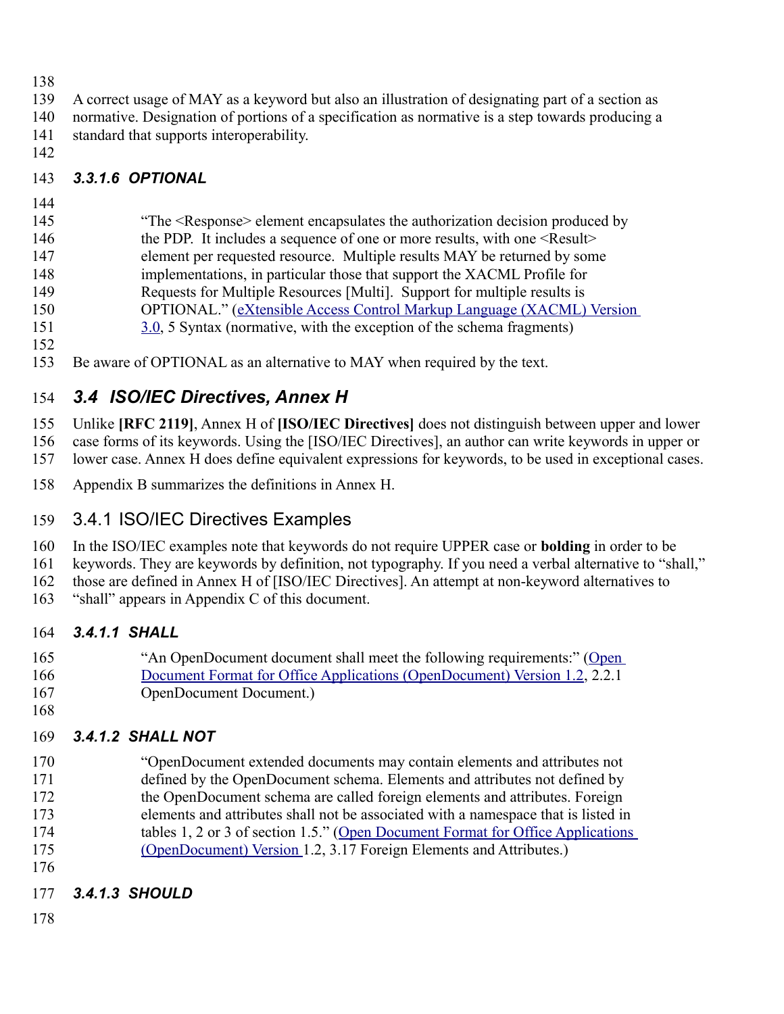- 138
- A correct usage of MAY as a keyword but also an illustration of designating part of a section as 139
- normative. Designation of portions of a specification as normative is a step towards producing a standard that supports interoperability. 140 141
- 142

#### *3.3.1.6 OPTIONAL*  143

## 144

"The <Response> element encapsulates the authorization decision produced by the PDP. It includes a sequence of one or more results, with one <Result> element per requested resource. Multiple results MAY be returned by some implementations, in particular those that support the XACML Profile for Requests for Multiple Resources [Multi]. Support for multiple results is OPTIONAL." [\(eXtensible Access Control Markup Language \(XACML\) Version](http://docs.oasis-open.org/xacml/3.0/xacml-3.0-core-spec-os-en.doc) 145 146 147 148 149 150

- [3.0,](http://docs.oasis-open.org/xacml/3.0/xacml-3.0-core-spec-os-en.doc) 5 Syntax (normative, with the exception of the schema fragments) 151
- 152
- Be aware of OPTIONAL as an alternative to MAY when required by the text. 153

#### *3.4 ISO/IEC Directives, Annex H* 154

Unlike **[RFC 2119]**, Annex H of **[ISO/IEC Directives]** does not distinguish between upper and lower case forms of its keywords. Using the [ISO/IEC Directives], an author can write keywords in upper or 155 156

- lower case. Annex H does define equivalent expressions for keywords, to be used in exceptional cases. 157
- Appendix B summarizes the definitions in Annex H. 158

#### 3.4.1 ISO/IEC Directives Examples 159

In the ISO/IEC examples note that keywords do not require UPPER case or **bolding** in order to be 160

keywords. They are keywords by definition, not typography. If you need a verbal alternative to "shall," 161

those are defined in Annex H of [ISO/IEC Directives]. An attempt at non-keyword alternatives to 162

"shall" appears in Appendix C of this document. 163

#### *3.4.1.1 SHALL* 164

- "An OpenDocument document shall meet the following requirements:" [\(Open](http://docs.oasis-open.org/office/v1.2/OpenDocument-v1.2-part1.odt) 165 166
	- [Document Format for Office Applications \(OpenDocument\) Version 1.2,](http://docs.oasis-open.org/office/v1.2/OpenDocument-v1.2-part1.odt) 2.2.1 OpenDocument Document.)
- 167 168

#### *3.4.1.2 SHALL NOT* 169

- "OpenDocument extended documents may contain elements and attributes not defined by the OpenDocument schema. Elements and attributes not defined by the OpenDocument schema are called foreign elements and attributes. Foreign elements and attributes shall not be associated with a namespace that is listed in tables 1, 2 or 3 of section 1.5." [\(Open Document Format for Office Applications](http://docs.oasis-open.org/office/v1.2/OpenDocument-v1.2-part1.odt) [\(OpenDocument\) Version 1](http://docs.oasis-open.org/office/v1.2/OpenDocument-v1.2-part1.odt).2, 3.17 Foreign Elements and Attributes.) 170 171 172 173 174 175
- 176

#### *3.4.1.3 SHOULD* 177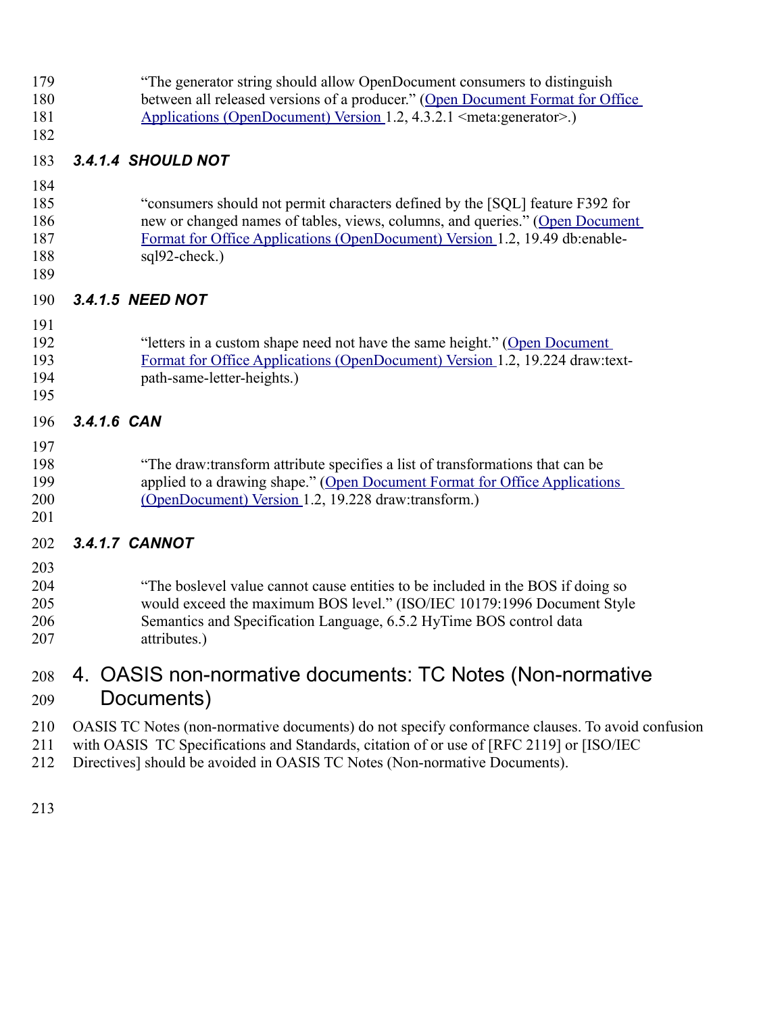179

- "The generator string should allow OpenDocument consumers to distinguish between all released versions of a producer." [\(Open Document Format for Office](http://docs.oasis-open.org/office/v1.2/OpenDocument-v1.2-part1.odt) [Applications \(OpenDocument\) Version 1](http://docs.oasis-open.org/office/v1.2/OpenDocument-v1.2-part1.odt).2, 4.3.2.1 <meta:generator>.) 180
- 181 182

#### *3.4.1.4 SHOULD NOT* 183

- 184
- "consumers should not permit characters defined by the [SQL] feature F392 for new or changed names of tables, views, columns, and queries." [\(Open Document](http://docs.oasis-open.org/office/v1.2/OpenDocument-v1.2-part1.odt) [Format for Office Applications \(OpenDocument\) Version 1](http://docs.oasis-open.org/office/v1.2/OpenDocument-v1.2-part1.odt).2, 19.49 db:enablesql92-check.) 185 186 187 188
- 189

#### *3.4.1.5 NEED NOT* 190

## 191

201

#### "letters in a custom shape need not have the same height." [\(Open Document](http://docs.oasis-open.org/office/v1.2/OpenDocument-v1.2-part1.odt) [Format for Office Applications \(OpenDocument\) Version 1](http://docs.oasis-open.org/office/v1.2/OpenDocument-v1.2-part1.odt).2, 19.224 draw:textpath-same-letter-heights.) 192 193 194 195

#### *3.4.1.6 CAN* 196

#### "The draw:transform attribute specifies a list of transformations that can be applied to a drawing shape." [\(Open Document Format for Office Applications](http://docs.oasis-open.org/office/v1.2/OpenDocument-v1.2-part1.odt) [\(OpenDocument\) Version 1](http://docs.oasis-open.org/office/v1.2/OpenDocument-v1.2-part1.odt).2, 19.228 draw:transform.) 197 198 199 200

#### *3.4.1.7 CANNOT* 202

"The boslevel value cannot cause entities to be included in the BOS if doing so would exceed the maximum BOS level." (ISO/IEC 10179:1996 Document Style Semantics and Specification Language, 6.5.2 HyTime BOS control data attributes.) 203 204 205 206 207

#### 4. OASIS non-normative documents: TC Notes (Non-normative Documents) 208 209

- OASIS TC Notes (non-normative documents) do not specify conformance clauses. To avoid confusion 210
- with OASIS TC Specifications and Standards, citation of or use of [RFC 2119] or [ISO/IEC 211
- Directives] should be avoided in OASIS TC Notes (Non-normative Documents). 212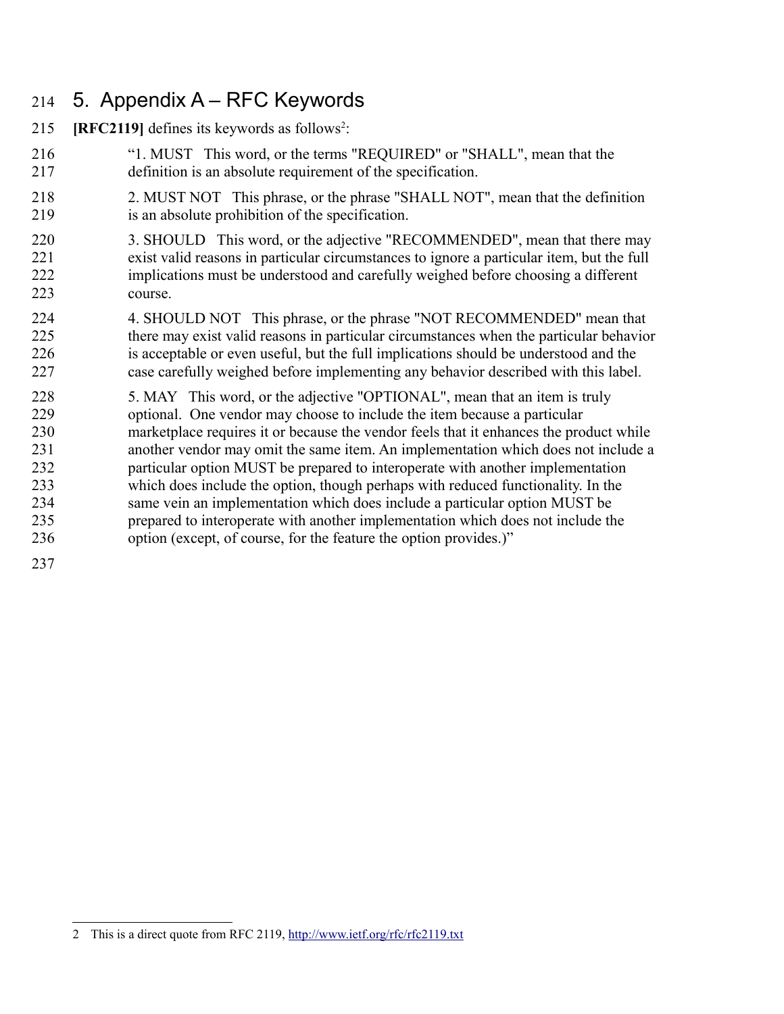#### 5. Appendix A – RFC Keywords 214

- $[RFC2119]$  $[RFC2119]$  $[RFC2119]$  defines its keywords as follows<sup>2</sup>: 215
- "1. MUST This word, or the terms "REQUIRED" or "SHALL", mean that the definition is an absolute requirement of the specification. 216 217
- 2. MUST NOT This phrase, or the phrase "SHALL NOT", mean that the definition is an absolute prohibition of the specification. 218 219
- 3. SHOULD This word, or the adjective "RECOMMENDED", mean that there may exist valid reasons in particular circumstances to ignore a particular item, but the full implications must be understood and carefully weighed before choosing a different course. 220 221 222 223
- 4. SHOULD NOT This phrase, or the phrase "NOT RECOMMENDED" mean that there may exist valid reasons in particular circumstances when the particular behavior is acceptable or even useful, but the full implications should be understood and the case carefully weighed before implementing any behavior described with this label. 224 225 226 227
- 5. MAY This word, or the adjective "OPTIONAL", mean that an item is truly optional. One vendor may choose to include the item because a particular marketplace requires it or because the vendor feels that it enhances the product while another vendor may omit the same item. An implementation which does not include a particular option MUST be prepared to interoperate with another implementation which does include the option, though perhaps with reduced functionality. In the same vein an implementation which does include a particular option MUST be prepared to interoperate with another implementation which does not include the option (except, of course, for the feature the option provides.)" 228 229 230 231 232 233 234 235 236

<span id="page-6-0"></span><sup>2</sup> This is a direct quote from RFC 2119,<http://www.ietf.org/rfc/rfc2119.txt>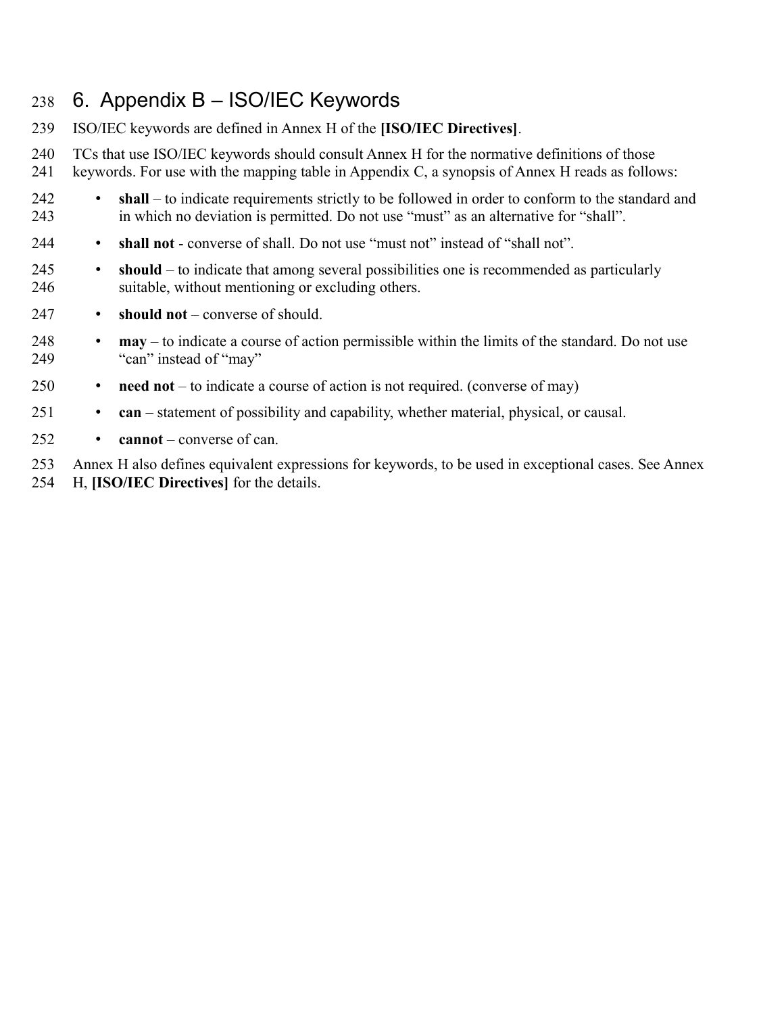#### 6. Appendix B – ISO/IEC Keywords 238

- ISO/IEC keywords are defined in Annex H of the **[ISO/IEC Directives]**. 239
- TCs that use ISO/IEC keywords should consult Annex H for the normative definitions of those 240
- keywords. For use with the mapping table in Appendix C, a synopsis of Annex H reads as follows: 241
- **shall** to indicate requirements strictly to be followed in order to conform to the standard and in which no deviation is permitted. Do not use "must" as an alternative for "shall". 242 243
- **shall not** converse of shall. Do not use "must not" instead of "shall not". 244
- **should** to indicate that among several possibilities one is recommended as particularly suitable, without mentioning or excluding others. 245 246
- **should not** converse of should. 247
- **may** to indicate a course of action permissible within the limits of the standard. Do not use "can" instead of "may" 248 249
- **need not** to indicate a course of action is not required. (converse of may) 250
- **can** statement of possibility and capability, whether material, physical, or causal. 251
- **cannot** converse of can. 252
- Annex H also defines equivalent expressions for keywords, to be used in exceptional cases. See Annex H, **[ISO/IEC Directives]** for the details. 253 254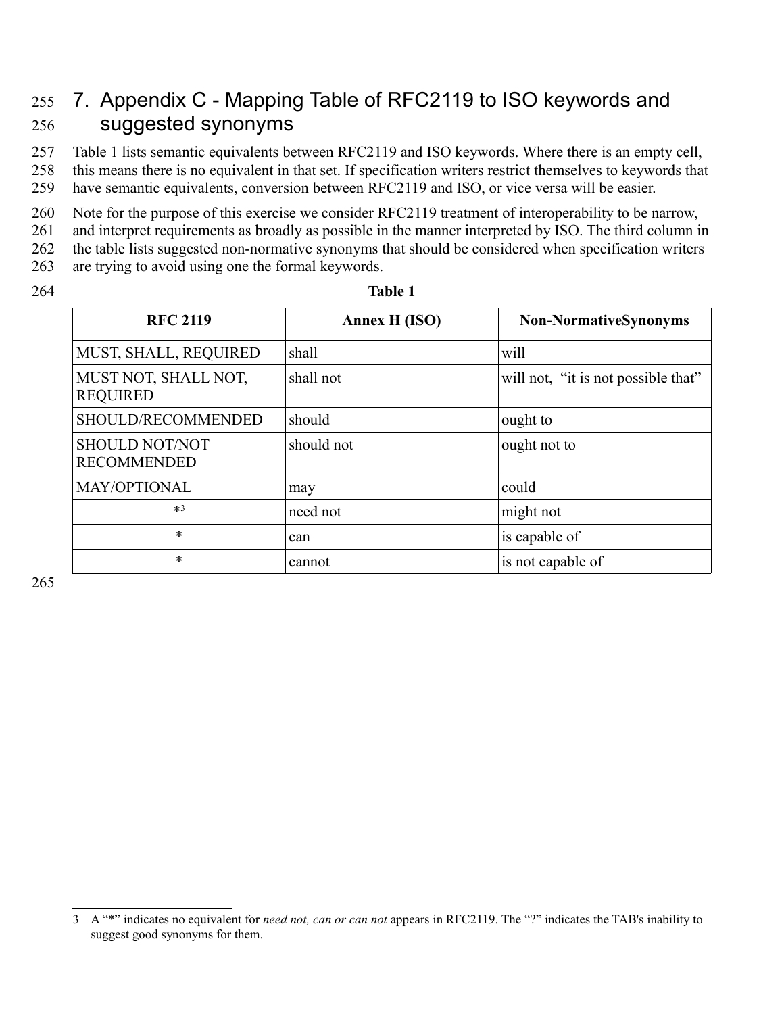#### 7. Appendix C - Mapping Table of RFC2119 to ISO keywords and suggested synonyms 255 256

Table 1 lists semantic equivalents between RFC2119 and ISO keywords. Where there is an empty cell, this means there is no equivalent in that set. If specification writers restrict themselves to keywords that have semantic equivalents, conversion between RFC2119 and ISO, or vice versa will be easier. 257 258 259

Note for the purpose of this exercise we consider RFC2119 treatment of interoperability to be narrow, 260

and interpret requirements as broadly as possible in the manner interpreted by ISO. The third column in 261

the table lists suggested non-normative synonyms that should be considered when specification writers are trying to avoid using one the formal keywords. 262 263

264

### **Table 1**

| <b>RFC 2119</b>                             | Annex H (ISO) | <b>Non-NormativeSynonyms</b>        |
|---------------------------------------------|---------------|-------------------------------------|
| MUST, SHALL, REQUIRED                       | shall         | will                                |
| MUST NOT, SHALL NOT,<br><b>REQUIRED</b>     | shall not     | will not, "it is not possible that" |
| SHOULD/RECOMMENDED                          | should        | ought to                            |
| <b>SHOULD NOT/NOT</b><br><b>RECOMMENDED</b> | should not    | ought not to                        |
| MAY/OPTIONAL                                | may           | could                               |
| $*3$                                        | need not      | might not                           |
| $\ast$                                      | can           | is capable of                       |
| *                                           | cannot        | is not capable of                   |

<span id="page-8-0"></span><sup>3</sup> A "\*" indicates no equivalent for *need not, can or can not* appears in RFC2119. The "?" indicates the TAB's inability to suggest good synonyms for them.